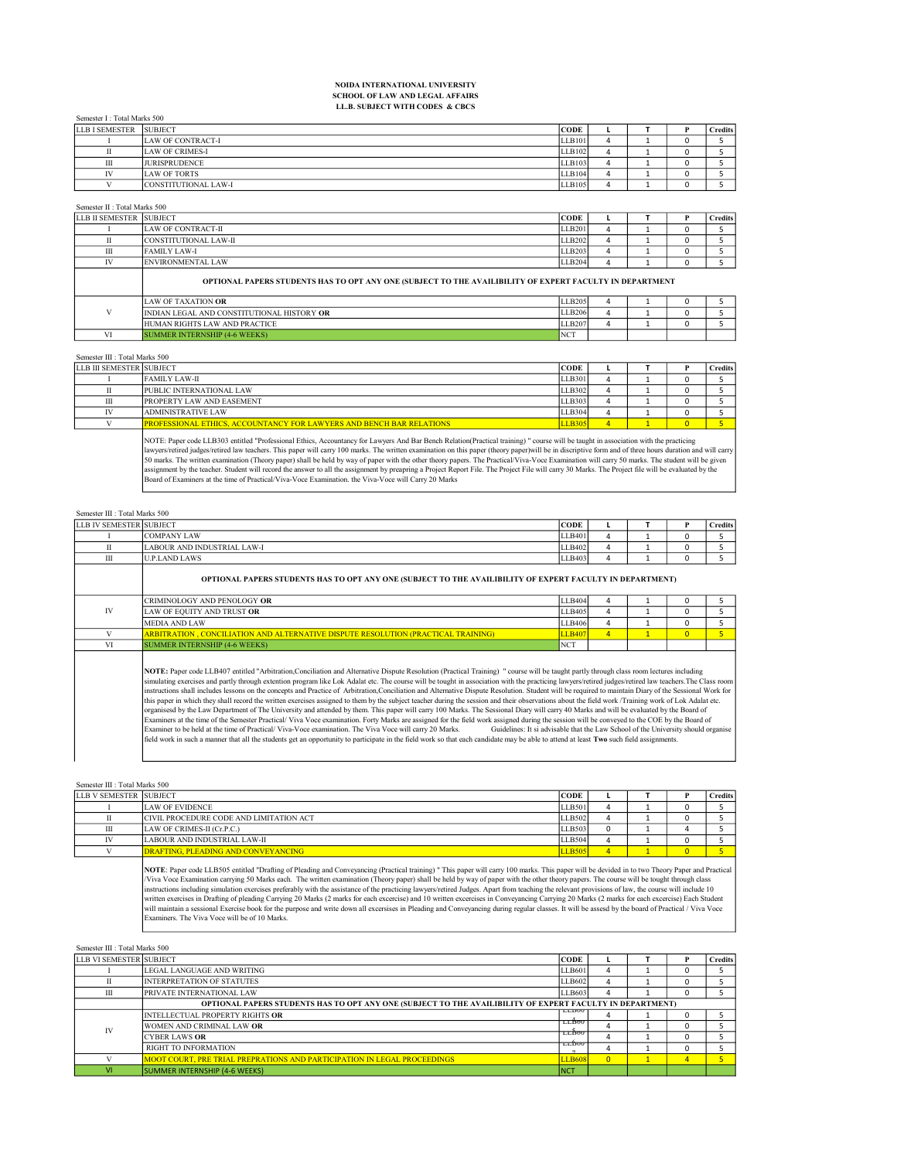## NOIDA INTERNATIONAL UNIVERSITY SCHOOL OF LAW AND LEGAL AFFAIRS LL.B. SUBJECT WITH CODES & CBCS

Semester I : Total Marks 500

| <b>LLB I SEMESTER</b> | <b>SUBJECT</b>              | <b>CODE</b> |  | <b>Credits</b> |
|-----------------------|-----------------------------|-------------|--|----------------|
|                       | <b>LAW OF CONTRACT-I</b>    | LLB101      |  |                |
|                       | <b>LAW OF CRIMES-I</b>      | LLB102      |  |                |
| Ш                     | <b>JURISPRUDENCE</b>        | LLB103      |  |                |
| IV                    | <b>LAW OF TORTS</b>         | LLB104      |  |                |
|                       | <b>CONSTITUTIONAL LAW-I</b> | LLB105      |  |                |

Semester II : Total Marks 500

 $\mathbf{L}$ 

| LLB II SEMESTER SUBJECT |                          | 'CODE              |   |  | <b>Credits</b> |
|-------------------------|--------------------------|--------------------|---|--|----------------|
|                         | LAW OF CONTRACT-II       | LLB201             | 4 |  |                |
|                         | CONSTITUTIONAL LAW-II    | LLB <sub>202</sub> | ≖ |  |                |
| Ш                       | <b>FAMILY LAW-I</b>      | LLB203             | u |  |                |
| TV.                     | <b>ENVIRONMENTAL LAW</b> | LLB <sub>204</sub> |   |  |                |
|                         |                          |                    |   |  |                |

OPTIONAL PAPERS STUDENTS HAS TO OPT ANY ONE (SUBJECT TO THE AVAILIBILITY OF EXPERT FACULTY IN DEPARTMENT

| LAW OF TAXATION <b>OR</b>                  | LLB205          |  |  |
|--------------------------------------------|-----------------|--|--|
| INDIAN LEGAL AND CONSTITUTIONAL HISTORY OR | LLB206          |  |  |
| <b>HUMAN RIGHTS LAW AND PRACTICE</b>       | LLB207          |  |  |
| <b>SUMMER INTERNSHIP (4-6 WEEKS)</b>       | NC <sub>1</sub> |  |  |

| Semester III : Total Marks 500 |  |
|--------------------------------|--|
| LLB III SEMESTER SUBJECT       |  |
|                                |  |

| LLB III SEMESTER  SUBJECT |                                                                             | <b>CODE</b>   |  | credits' |
|---------------------------|-----------------------------------------------------------------------------|---------------|--|----------|
|                           | <b>FAMILY LAW-II</b>                                                        | LLB301        |  |          |
|                           | <b>PUBLIC INTERNATIONAL LAW</b>                                             | LLB302        |  |          |
| Ш                         | <b>PROPERTY LAW AND EASEMENT</b>                                            | LLB303        |  |          |
|                           | <b>ADMINISTRATIVE LAW</b>                                                   | LLB304        |  |          |
|                           | <b>PROFESSIONAL ETHICS, ACCOUNTANCY FOR LAWYERS AND BENCH BAR RELATIONS</b> | <b>U.B305</b> |  |          |
|                           |                                                                             |               |  |          |

NOTE: Paper code LLB303 entitled "Professional Ethics, Accountancy for Lawyers And Bar Bench Relation(Practical training) " course will be taught in association with the practicing<br>lawyers/retired judges/retired law teache assignment by the teacher. Student will record the answer to all the assignment by preapring a Project Report File. The Project File will carry 30 Marks. The Project file will be evaluated by the<br>Board of Examiners at the

| Semester III : Total Marks 500 |
|--------------------------------|
|--------------------------------|

| <b>LLB IV SEMESTER SUBJECT</b> |                                                                                                           | <b>CODE</b>        |  | ′ redits |
|--------------------------------|-----------------------------------------------------------------------------------------------------------|--------------------|--|----------|
|                                | <b>COMPANY LAW</b>                                                                                        | LLB401             |  |          |
|                                | LABOUR AND INDUSTRIAL LAW-I                                                                               | LLB <sub>402</sub> |  |          |
| Ш                              | <b>ILP LAND LAWS</b>                                                                                      | LLB403             |  |          |
|                                | OPTIONAL PAPERS STUDENTS HAS TO OPT ANY ONE (SUBJECT TO THE AVAILIBILITY OF EXPERT FACULTY IN DEPARTMENT) |                    |  |          |

|              | <b>CRIMINOLOGY AND PENOLOGY OR</b>                                                 | LLB404             |  |  |
|--------------|------------------------------------------------------------------------------------|--------------------|--|--|
| $\mathbf{N}$ | LAW OF EOUITY AND TRUST OR                                                         | LLB <sub>405</sub> |  |  |
|              | MEDIA AND LAW                                                                      | LLB406             |  |  |
|              | ARBITRATION , CONCILIATION AND ALTERNATIVE DISPUTE RESOLUTION (PRACTICAL TRAINING) | <b>ILLB407</b>     |  |  |
|              | <b>SUMMER INTERNSHIP (4-6 WEEKS)</b>                                               | <b>NCT</b>         |  |  |

NOTE: Paper code LLB407 entitled "Arbitration,Conciliation and Alternative Dispute Resolution (Practical Training) " course will be taught partly through class room lectures including<br>insturding exercises and partly throug organisesd by the Law Department of The University and attended by them. This paper will carry 100 Marks. The Sessional Diary will carry 40 Marks and will be evaluated by the Board of<br>Examiners at the time of the Semester Examiner to be held at the time of Practical/Viva-Voce examination. The Viva Voce will carry 20 Marks. Guidelines: It si advisable that the Law School of the University should organise<br>field work in such a manner that all

| Semester III : Total Marks 500 |                                             |               |  |                |
|--------------------------------|---------------------------------------------|---------------|--|----------------|
| LLB V SEMESTER SUBJECT         |                                             | <b>CODE</b>   |  | <b>Credits</b> |
|                                | LAW OF EVIDENCE                             | LLB501        |  |                |
|                                | CIVIL PROCEDURE CODE AND LIMITATION ACT     | LLB502        |  |                |
| Ш                              | LAW OF CRIMES-II (Cr.P.C.)                  | LLB503        |  |                |
| IV                             | LABOUR AND INDUSTRIAL LAW-II                | LLB504        |  |                |
|                                | <b>DRAFTING, PLEADING AND CONVEY ANCING</b> | <b>LLB505</b> |  |                |

NOTE: Paper code LLB505 entitled "Drafting of Pleading and Conveyancing (Practical training) " This paper will carry 100 marks. This paper will be devided in to two Theory Paper and Practical /Viva Voce Examination carrying 50 Marks each. The written examination (Theory paper) shall be held by way of paper with the other theory papers. The course will be tought through class<br>instructions including simulation ex written exercises in Drafting of pleading Carrying 20 Marks (2 marks for each excercise) and 10 written excercises in Conveyancing Carrying 20 Marks (2 marks for each excercise) Each Student<br>will maintain a sessional Exerc

| Semester III : Total Marks 500 |                                                                                                           |                         |                |  |          |                |  |  |
|--------------------------------|-----------------------------------------------------------------------------------------------------------|-------------------------|----------------|--|----------|----------------|--|--|
| LLB VI SEMESTER SUBJECT        |                                                                                                           | <b>CODE</b>             |                |  |          | <b>Credits</b> |  |  |
|                                | LEGAL LANGUAGE AND WRITING                                                                                | LLB601                  |                |  | 0        |                |  |  |
|                                | <b>INTERPRETATION OF STATUTES</b>                                                                         | LLB602                  | 4              |  | 0        |                |  |  |
| Ш                              | <b>PRIVATE INTERNATIONAL LAW</b>                                                                          | LLB603                  | 4              |  | Ω        |                |  |  |
|                                | OPTIONAL PAPERS STUDENTS HAS TO OPT ANY ONE (SUBJECT TO THE AVAILIBILITY OF EXPERT FACULTY IN DEPARTMENT) |                         |                |  |          |                |  |  |
|                                | INTELLECTUAL PROPERTY RIGHTS <b>OR</b>                                                                    | <b>LLD<sub>00</sub></b> |                |  | $^{(1)}$ |                |  |  |
| IV                             | WOMEN AND CRIMINAL LAW <b>OR</b>                                                                          | LLB <sub>00</sub>       | 4              |  | 0        |                |  |  |
|                                | <b>CYBER LAWS OR</b>                                                                                      | <b>LLB00</b>            |                |  | $\Omega$ |                |  |  |
|                                | <b>RIGHT TO INFORMATION</b>                                                                               | <b>LLB00</b>            |                |  | 0        |                |  |  |
|                                | MOOT COURT, PRE TRIAL PREPRATIONS AND PARTICIPATION IN LEGAL PROCEEDINGS                                  | <b>LLB608</b>           | $\overline{0}$ |  | 4        |                |  |  |
| v١                             | SUMMER INTERNSHIP (4-6 WEEKS)                                                                             | <b>NCT</b>              |                |  |          |                |  |  |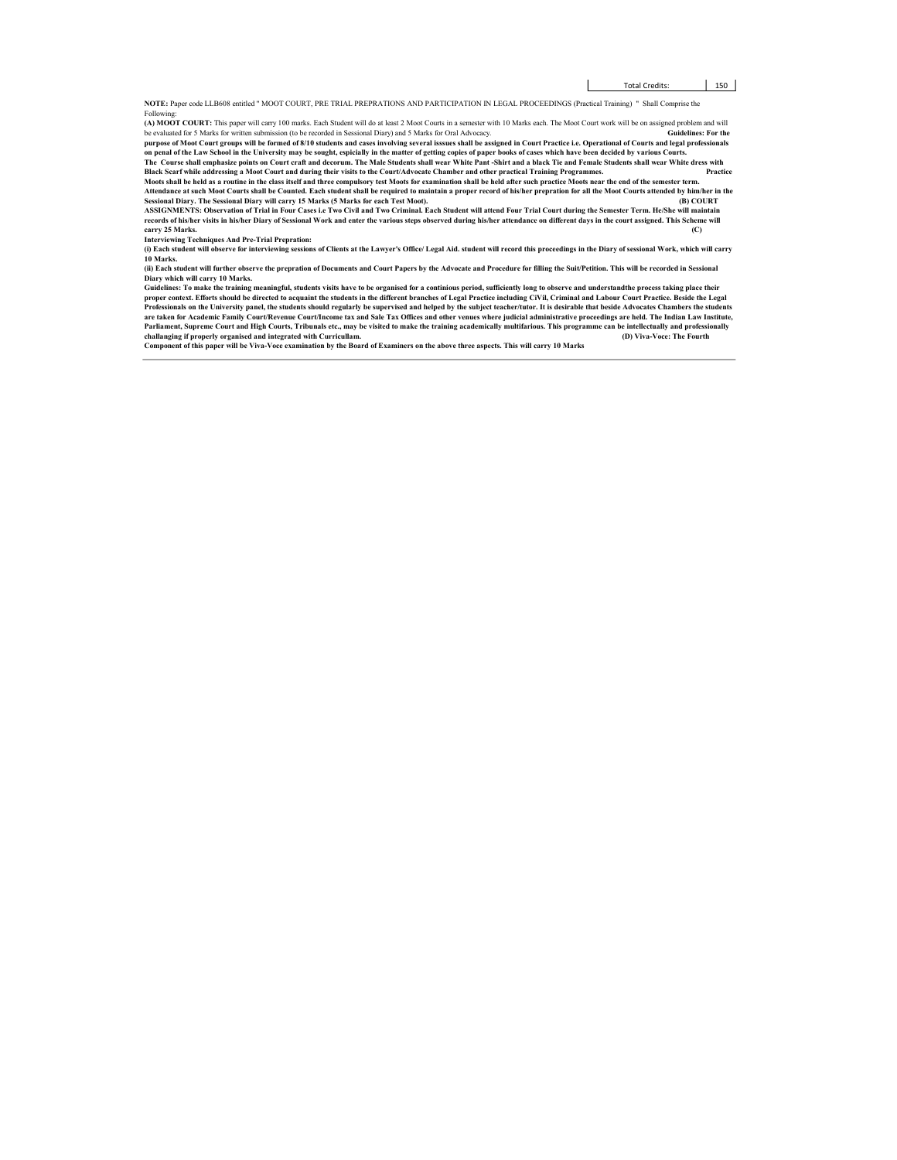NOTE: Paper code LLB608 entitled " MOOT COURT, PRE TRIAL PREPRATIONS AND PARTICIPATION IN LEGAL PROCEEDINGS (Practical Training) " Shall Comprise the Followi

(A) MOOT COURT: This paper will carry 100 marks. Each Student will do at least 2 Moot Courts in a semester with 10 Marks each. The Moot Court work will be on assigned problem and will be evaluated for 5 Marks for written submission (to be recorded in Sessional Diary) and 5 Marks for Oral Advocacy.<br>purpose of Moot Court groups will be formed of 8/10 students and cases involving several isssues shall be a

Black Scarf while addressing a Moot Court and during their visits to the Court/Advocate Chamber and other practical Training Programmes. Practice Moots shall be held as a routine in the class itself and three compulsory test Moots for examination shall be held after such practice Moots near the end of the semester term.

Attendance at such Moot Courts shall be Counted. Each student shall be required to maintain a proper record of his/her prepration for all the Moot Courts attended by him/her in the<br>Sessional Diary. The Sessional Diary will ASSIGNMENTS: Observation of Trial in Four Cases i.e Two Civil and Two Criminal. Each Student will attend Four Trial Court during the Semester Term. He/She will maintain

records of his/her visits in his/her Diary of Sessional Work and enter the various steps observed during his/her attendance on different days in the court assigned. This Scheme will carry 25 Marks. (C) carry 25 Marks. (C) Interviewing Techniques And Pre-Trial Prepration: (i) Each student will observe for interviewing sessions of Clients at the Lawyer's Office/ Legal Aid. student will record this proceedings in the Diary of sessional Work, which will carry

10 Marks. (ii) Each student will further observe the prepration of Documents and Court Papers by the Advocate and Procedure for filling the Suit/Petition. This will be recorded in Sessional

## Diary which will carry 10 Marks.

Guidelines: To make the training meaningful, students visits have to be organised for a continious period, sufficiently long to observe and understandthe process taking place their<br>proper context. Efforts should be directe Professionals on the University panel, the students should regularly be supervised and helped by the subject teacher/tutor. It is desirable that beside Advocates Chambers the students<br>are taken for Academic Family Court/Re Parliament, Supreme Court and High Courts, Tribunals etc., may be visited to make the training academically multifarious. This programme can be intellectually and professionally challanging if properly organised and integrated with Curricullam. Component of this paper will be Viva-Voce examination by the Board of Examiners on the above three aspects. This will carry 10 Marks